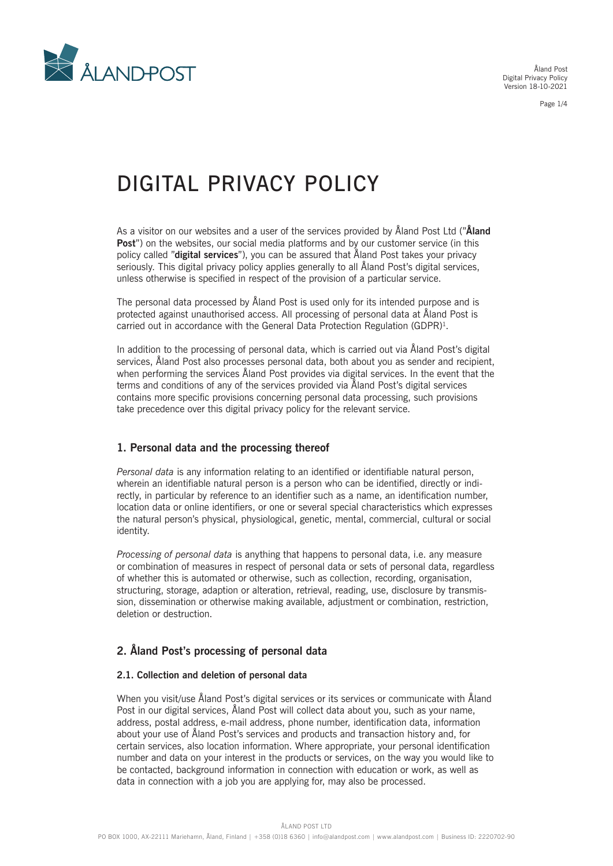

Åland Post Digital Privacy Policy Version 18-10-2021

Page 1/4

# DIGITAL PRIVACY POLICY

As a visitor on our websites and a user of the services provided by Åland Post Ltd ("**Åland Post**") on the websites, our social media platforms and by our customer service (in this policy called "**digital services**"), you can be assured that Åland Post takes your privacy seriously. This digital privacy policy applies generally to all Åland Post's digital services, unless otherwise is specified in respect of the provision of a particular service.

The personal data processed by Åland Post is used only for its intended purpose and is protected against unauthorised access. All processing of personal data at Åland Post is carried out in accordance with the General Data Protection Regulation (GDPR)<sup>1</sup>.

In addition to the processing of personal data, which is carried out via Åland Post's digital services, Åland Post also processes personal data, both about you as sender and recipient, when performing the services Åland Post provides via digital services. In the event that the terms and conditions of any of the services provided via Åland Post's digital services contains more specific provisions concerning personal data processing, such provisions take precedence over this digital privacy policy for the relevant service.

# **1. Personal data and the processing thereof**

*Personal data* is any information relating to an identified or identifiable natural person, wherein an identifiable natural person is a person who can be identified, directly or indirectly, in particular by reference to an identifier such as a name, an identification number, location data or online identifiers, or one or several special characteristics which expresses the natural person's physical, physiological, genetic, mental, commercial, cultural or social identity.

*Processing of personal data* is anything that happens to personal data, i.e. any measure or combination of measures in respect of personal data or sets of personal data, regardless of whether this is automated or otherwise, such as collection, recording, organisation, structuring, storage, adaption or alteration, retrieval, reading, use, disclosure by transmission, dissemination or otherwise making available, adjustment or combination, restriction, deletion or destruction.

# **2. Åland Post's processing of personal data**

#### **2.1. Collection and deletion of personal data**

When you visit/use Åland Post's digital services or its services or communicate with Åland Post in our digital services, Åland Post will collect data about you, such as your name, address, postal address, e-mail address, phone number, identification data, information about your use of Åland Post's services and products and transaction history and, for certain services, also location information. Where appropriate, your personal identification number and data on your interest in the products or services, on the way you would like to be contacted, background information in connection with education or work, as well as data in connection with a job you are applying for, may also be processed.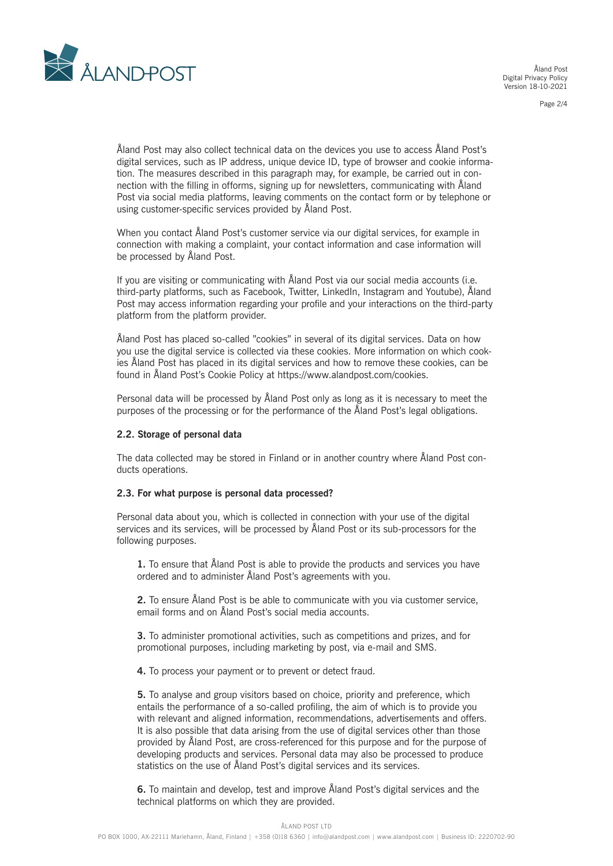

Åland Post Digital Privacy Policy Version 18-10-2021

Page 2/4

Åland Post may also collect technical data on the devices you use to access Åland Post's digital services, such as IP address, unique device ID, type of browser and cookie information. The measures described in this paragraph may, for example, be carried out in connection with the filling in offorms, signing up for newsletters, communicating with Åland Post via social media platforms, leaving comments on the contact form or by telephone or using customer-specific services provided by Åland Post.

When you contact Åland Post's customer service via our digital services, for example in connection with making a complaint, your contact information and case information will be processed by Åland Post.

If you are visiting or communicating with Åland Post via our social media accounts (i.e. third-party platforms, such as Facebook, Twitter, LinkedIn, Instagram and Youtube), Åland Post may access information regarding your profile and your interactions on the third-party platform from the platform provider.

Åland Post has placed so-called "cookies" in several of its digital services. Data on how you use the digital service is collected via these cookies. More information on which cookies Åland Post has placed in its digital services and how to remove these cookies, can be found in Åland Post's Cookie Policy at https://www.alandpost.com/cookies.

Personal data will be processed by Åland Post only as long as it is necessary to meet the purposes of the processing or for the performance of the Åland Post's legal obligations.

#### **2.2. Storage of personal data**

The data collected may be stored in Finland or in another country where Åland Post conducts operations.

#### **2.3. For what purpose is personal data processed?**

Personal data about you, which is collected in connection with your use of the digital services and its services, will be processed by Åland Post or its sub-processors for the following purposes.

**1.** To ensure that Åland Post is able to provide the products and services you have ordered and to administer Åland Post's agreements with you.

**2.** To ensure Åland Post is be able to communicate with you via customer service, email forms and on Åland Post's social media accounts.

**3.** To administer promotional activities, such as competitions and prizes, and for promotional purposes, including marketing by post, via e-mail and SMS.

**4.** To process your payment or to prevent or detect fraud.

**5.** To analyse and group visitors based on choice, priority and preference, which entails the performance of a so-called profiling, the aim of which is to provide you with relevant and aligned information, recommendations, advertisements and offers. It is also possible that data arising from the use of digital services other than those provided by Åland Post, are cross-referenced for this purpose and for the purpose of developing products and services. Personal data may also be processed to produce statistics on the use of Åland Post's digital services and its services.

**6.** To maintain and develop, test and improve Åland Post's digital services and the technical platforms on which they are provided.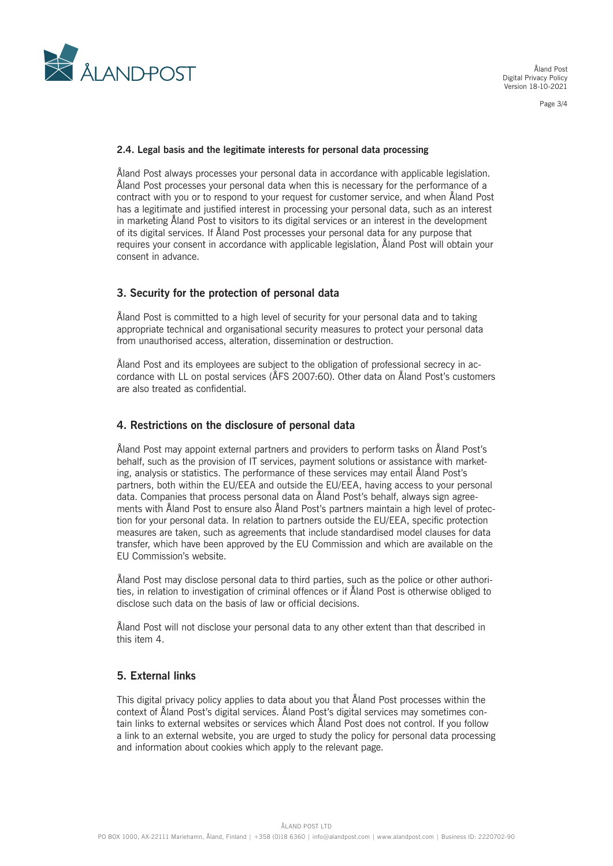

Åland Post Digital Privacy Policy Version 18-10-2021

Page 3/4

#### **2.4. Legal basis and the legitimate interests for personal data processing**

Åland Post always processes your personal data in accordance with applicable legislation. Åland Post processes your personal data when this is necessary for the performance of a contract with you or to respond to your request for customer service, and when Åland Post has a legitimate and justified interest in processing your personal data, such as an interest in marketing Åland Post to visitors to its digital services or an interest in the development of its digital services. If Åland Post processes your personal data for any purpose that requires your consent in accordance with applicable legislation, Åland Post will obtain your consent in advance.

#### **3. Security for the protection of personal data**

Åland Post is committed to a high level of security for your personal data and to taking appropriate technical and organisational security measures to protect your personal data from unauthorised access, alteration, dissemination or destruction.

Åland Post and its employees are subject to the obligation of professional secrecy in accordance with LL on postal services (ÅFS 2007:60). Other data on Åland Post's customers are also treated as confidential.

#### **4. Restrictions on the disclosure of personal data**

Åland Post may appoint external partners and providers to perform tasks on Åland Post's behalf, such as the provision of IT services, payment solutions or assistance with marketing, analysis or statistics. The performance of these services may entail Åland Post's partners, both within the EU/EEA and outside the EU/EEA, having access to your personal data. Companies that process personal data on Åland Post's behalf, always sign agreements with Åland Post to ensure also Åland Post's partners maintain a high level of protection for your personal data. In relation to partners outside the EU/EEA, specific protection measures are taken, such as agreements that include standardised model clauses for data transfer, which have been approved by the EU Commission and which are available on the EU Commission's website.

Åland Post may disclose personal data to third parties, such as the police or other authorities, in relation to investigation of criminal offences or if Åland Post is otherwise obliged to disclose such data on the basis of law or official decisions.

Åland Post will not disclose your personal data to any other extent than that described in this item 4.

## **5. External links**

This digital privacy policy applies to data about you that Åland Post processes within the context of Åland Post's digital services. Åland Post's digital services may sometimes contain links to external websites or services which Åland Post does not control. If you follow a link to an external website, you are urged to study the policy for personal data processing and information about cookies which apply to the relevant page.